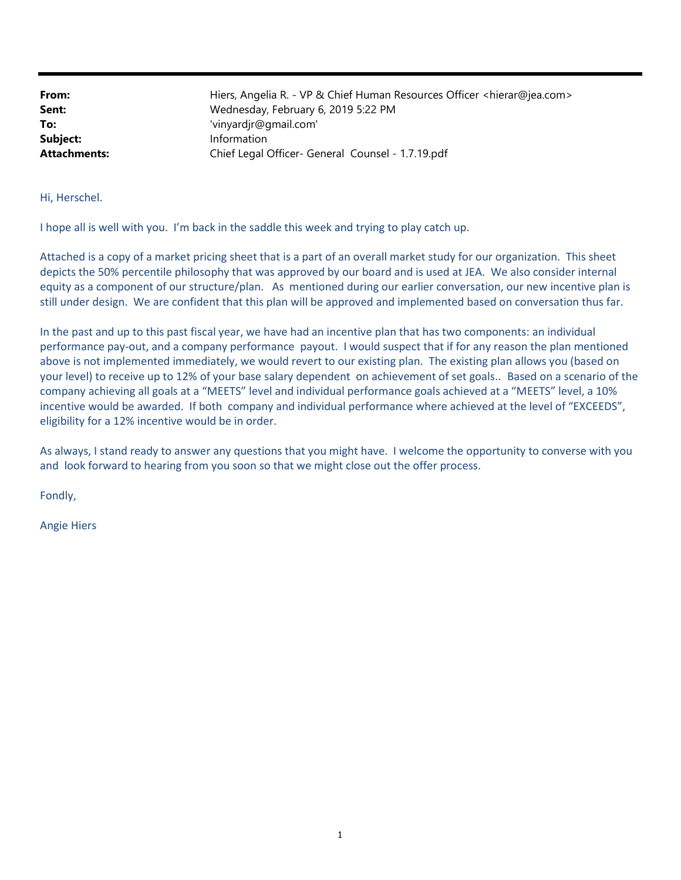| From:               | Hiers, Angelia R. - VP & Chief Human Resources Officer <hierar@jea.com></hierar@jea.com> |
|---------------------|------------------------------------------------------------------------------------------|
| Sent:               | Wednesday, February 6, 2019 5:22 PM                                                      |
| To:                 | 'vinyardjr@gmail.com'                                                                    |
| Subject:            | Information                                                                              |
| <b>Attachments:</b> | Chief Legal Officer- General Counsel - 1.7.19.pdf                                        |

Hi, Herschel.

I hope all is well with you. I'm back in the saddle this week and trying to play catch up.

Attached is a copy of a market pricing sheet that is a part of an overall market study for our organization. This sheet depicts the 50% percentile philosophy that was approved by our board and is used at JEA. We also consider internal equity as a component of our structure/plan. As mentioned during our earlier conversation, our new incentive plan is still under design. We are confident that this plan will be approved and implemented based on conversation thus far.

In the past and up to this past fiscal year, we have had an incentive plan that has two components: an individual performance pay-out, and a company performance payout. I would suspect that if for any reason the plan mentioned above is not implemented immediately, we would revert to our existing plan. The existing plan allows you (based on your level) to receive up to 12% of your base salary dependent on achievement of set goals.. Based on a scenario of the company achieving all goals at a "MEETS" level and individual performance goals achieved at a "MEETS" level, a 10% incentive would be awarded. If both company and individual performance where achieved at the level of "EXCEEDS", eligibility for a 12% incentive would be in order.

As always, I stand ready to answer any questions that you might have. I welcome the opportunity to converse with you and look forward to hearing from you soon so that we might close out the offer process.

Fondly,

Angie Hiers